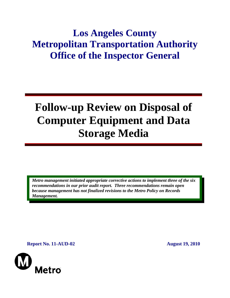## **Los Angeles County Metropolitan Transportation Authority Office of the Inspector General**

# **Follow-up Review on Disposal of Computer Equipment and Data Storage Media**

*Metro management initiated appropriate corrective actions to implement three of the six recommendations in our prior audit report. Three recommendations remain open because management has not finalized revisions to the Metro Policy on Records Management.* 

**Report No. 11-AUD-02 August 19, 2010** 

Metro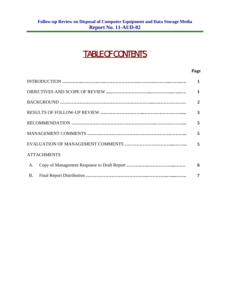## TABLE OF CONTENTS

#### **Page**

|                    | $\mathbf{1}$   |
|--------------------|----------------|
|                    | $\mathbf{1}$   |
|                    | $\overline{2}$ |
|                    | 3              |
|                    | 5              |
|                    | 5              |
|                    | 5              |
| <b>ATTACHMENTS</b> |                |
| A.                 | 6              |
| <b>B.</b>          | 7              |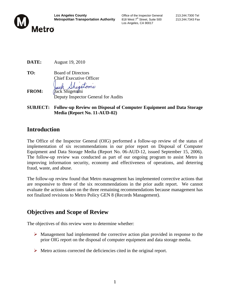

Los Angeles, CA 90017

| DATE: | August 19, 2010 |
|-------|-----------------|
|-------|-----------------|

- **TO:** Board of Directors Chief Executive Officer hisetomi **FROM:** Jack Shigetomi Deputy Inspector General for Audits
- **SUBJECT: Follow-up Review on Disposal of Computer Equipment and Data Storage Media (Report No. 11-AUD-02)**

#### **Introduction**

The Office of the Inspector General (OIG) performed a follow-up review of the status of implementation of six recommendations in our prior report on Disposal of Computer Equipment and Data Storage Media (Report No. 06-AUD-12, issued September 15, 2006). The follow-up review was conducted as part of our ongoing program to assist Metro in improving information security, economy and effectiveness of operations, and deterring fraud, waste, and abuse.

The follow-up review found that Metro management has implemented corrective actions that are responsive to three of the six recommendations in the prior audit report. We cannot evaluate the actions taken on the three remaining recommendations because management has not finalized revisions to Metro Policy GEN 8 (Records Management).

#### **Objectives and Scope of Review**

The objectives of this review were to determine whether:

- $\triangleright$  Management had implemented the corrective action plan provided in response to the prior OIG report on the disposal of computer equipment and data storage media.
- $\triangleright$  Metro actions corrected the deficiencies cited in the original report.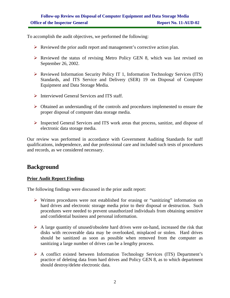To accomplish the audit objectives, we performed the following:

- $\triangleright$  Reviewed the prior audit report and management's corrective action plan.
- $\triangleright$  Reviewed the status of revising Metro Policy GEN 8, which was last revised on September 26, 2002.
- ¾ Reviewed Information Security Policy IT 1, Information Technology Services (ITS) Standards, and ITS Service and Delivery (SER) 19 on Disposal of Computer Equipment and Data Storage Media.
- $\triangleright$  Interviewed General Services and ITS staff.
- ¾ Obtained an understanding of the controls and procedures implemented to ensure the proper disposal of computer data storage media.
- ¾ Inspected General Services and ITS work areas that process, sanitize, and dispose of electronic data storage media.

Our review was performed in accordance with Government Auditing Standards for staff qualifications, independence, and due professional care and included such tests of procedures and records, as we considered necessary.

#### **Background**

#### **Prior Audit Report Findings**

The following findings were discussed in the prior audit report:

- $\triangleright$  Written procedures were not established for erasing or "sanitizing" information on hard drives and electronic storage media prior to their disposal or destruction. Such procedures were needed to prevent unauthorized individuals from obtaining sensitive and confidential business and personal information.
- $\triangleright$  A large quantity of unused/obsolete hard drives were on-hand, increased the risk that disks with recoverable data may be overlooked, misplaced or stolen. Hard drives should be sanitized as soon as possible when removed from the computer as sanitizing a large number of drives can be a lengthy process.
- ¾ A conflict existed between Information Technology Services (ITS) Department's practice of deleting data from hard drives and Policy GEN 8, as to which department should destroy/delete electronic data.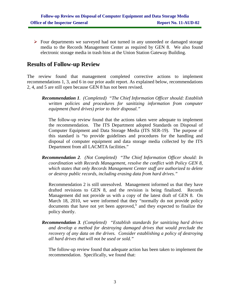$\triangleright$  Four departments we surveyed had not turned in any unneeded or damaged storage media to the Records Management Center as required by GEN 8. We also found electronic storage media in trash bins at the Union Station Gateway Building.

#### **Results of Follow-up Review**

The review found that management completed corrective actions to implement recommendations 1, 3, and 6 in our prior audit report. As explained below, recommendations 2, 4, and 5 are still open because GEN 8 has not been revised.

*Recommendation 1. (Completed) "The Chief Information Officer should: Establish written policies and procedures for sanitizing information from computer equipment (hard drives) prior to their disposal."* 

The follow-up review found that the actions taken were adequate to implement the recommendation. The ITS Department adopted Standards on Disposal of Computer Equipment and Data Storage Media (ITS SER-19). The purpose of this standard is "to provide guidelines and procedures for the handling and disposal of computer equipment and data storage media collected by the ITS Department from all LACMTA facilities."

*Recommendation 2. (Not Completed) "The Chief Information Officer should: In coordination with Records Management, resolve the conflict with Policy GEN 8, which states that only Records Management Center staff are authorized to delete or destroy public records, including erasing data from hard drives."* 

Recommendation 2 is still unresolved. Management informed us that they have drafted revisions to GEN 8, and the revision is being finalized. Records Management did not provide us with a copy of the latest draft of GEN 8. On March 18, 2010, we were informed that they "normally do not provide policy documents that have not yet been approved," and they expected to finalize the policy shortly.

*Recommendation 3. (Completed) "Establish standards for sanitizing hard drives and develop a method for destroying damaged drives that would preclude the recovery of any data on the drives. Consider establishing a policy of destroying all hard drives that will not be used or sold."* 

The follow-up review found that adequate action has been taken to implement the recommendation. Specifically, we found that: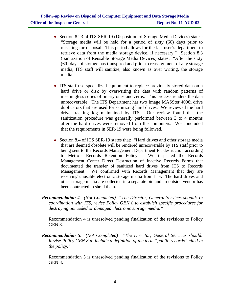- Section 8.23 of ITS SER-19 (Disposition of Storage Media Devices) states: "Storage media will be held for a period of sixty (60) days prior to reissuing for disposal. This period allows for the last user's department to retrieve data from the media storage device, if necessary." Section 8.3 (Sanitization of Reusable Storage Media Devices) states: "After the sixty (60) days of storage has transpired and prior to reassignment of any storage media, ITS staff will sanitize, also known as over writing, the storage media."
- ITS staff use specialized equipment to replace previously stored data on a hard drive or disk by overwriting the data with random patterns of meaningless series of binary ones and zeros. This process renders the data unrecoverable. The ITS Department has two Image MASSter 4008i drive duplicators that are used for sanitizing hard drives. We reviewed the hard drive tracking log maintained by ITS. Our review found that the sanitization procedure was generally performed between 3 to 4 months after the hard drives were removed from the computers. We concluded that the requirements in SER-19 were being followed.
- Section 8.4 of ITS SER-19 states that: "Hard drives and other storage media that are deemed obsolete will be rendered unrecoverable by ITS staff prior to being sent to the Records Management Department for destruction according to Metro's Records Retention Policy." We inspected the Records Management Center Direct Destruction of Inactive Records Forms that documented the transfer of sanitized hard drives from ITS to Records Management. We confirmed with Records Management that they are receiving unusable electronic storage media from ITS. The hard drives and other storage media are collected in a separate bin and an outside vendor has been contracted to shred them.
- *Recommendation 4. (Not Completed) "The Director, General Services should: In coordination with ITS, revise Policy GEN 8 to establish specific procedures for destroying unneeded or damaged electronic storage media."*

Recommendation 4 is unresolved pending finalization of the revisions to Policy GEN 8.

*Recommendation 5. (Not Completed) "The Director, General Services should: Revise Policy GEN 8 to include a definition of the term "public records" cited in the policy."* 

Recommendation 5 is unresolved pending finalization of the revisions to Policy GEN 8.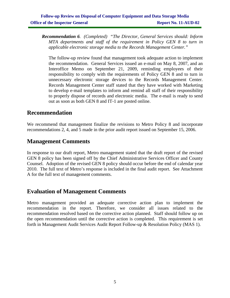*Recommendation 6. (Completed) "The Director, General Services should: Inform MTA departments and staff of the requirement in Policy GEN 8 to turn in applicable electronic storage media to the Records Management Center."* 

The follow-up review found that management took adequate action to implement the recommendation. General Services issued an e-mail on May 8, 2007, and an Interoffice Memo on September 21, 2009, reminding employees of their responsibility to comply with the requirements of Policy GEN 8 and to turn in unnecessary electronic storage devices to the Records Management Center. Records Management Center staff stated that they have worked with Marketing to develop e-mail templates to inform and remind all staff of their responsibility to properly dispose of records and electronic media. The e-mail is ready to send out as soon as both GEN 8 and IT-1 are posted online.

#### **Recommendation**

We recommend that management finalize the revisions to Metro Policy 8 and incorporate recommendations 2, 4, and 5 made in the prior audit report issued on September 15, 2006.

#### **Management Comments**

In response to our draft report, Metro management stated that the draft report of the revised GEN 8 policy has been signed off by the Chief Administrative Services Officer and County Counsel. Adoption of the revised GEN 8 policy should occur before the end of calendar year 2010. The full text of Metro's response is included in the final audit report. See Attachment A for the full text of management comments.

#### **Evaluation of Management Comments**

Metro management provided an adequate corrective action plan to implement the recommendation in the report. Therefore, we consider all issues related to the recommendation resolved based on the corrective action planned. Staff should follow up on the open recommendation until the corrective action is completed. This requirement is set forth in Management Audit Services Audit Report Follow-up & Resolution Policy (MAS 1).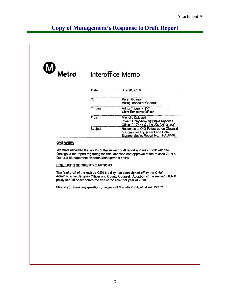### **Copy of Management's Response to Draft Report**

| W<br>Metro | Interoffice Memo |                                                                                                                |
|------------|------------------|----------------------------------------------------------------------------------------------------------------|
|            | Date             | July 30, 2010                                                                                                  |
|            | To               | Karen Gorman<br><b>Acting Inspector General</b>                                                                |
|            | Through          | Arthur T. Leahy P<br><b>Chief Executive Officer</b>                                                            |
|            | From             | Michelle Caldwell<br>Interim Chief Administrative Services<br>Officer<br>$\mathbf{W}$                          |
|            | Subject          | Response to OIG Follow up on Disposal<br>of Computer Equipment and Data<br>Storage Media, Report No. 11-AUD-02 |

#### **OVERVIEW**

We have reviewed the results of the subject draft report and we concur with the findings in the report regarding the final adoption and approval of the revised GEN 8, General Management Records Management policy.

#### **PROPOSED CORRECTIVE ACTIONS**

The final draft of the revised GEN 8 policy has been signed off by the Chief Administrative Services Officer and County Counsel. Adoption of the revised GEN 8 policy should occur before the end of the calendar year of 2010.

Should you have any questions, please call Michelle Caldwell at ext. 22452.